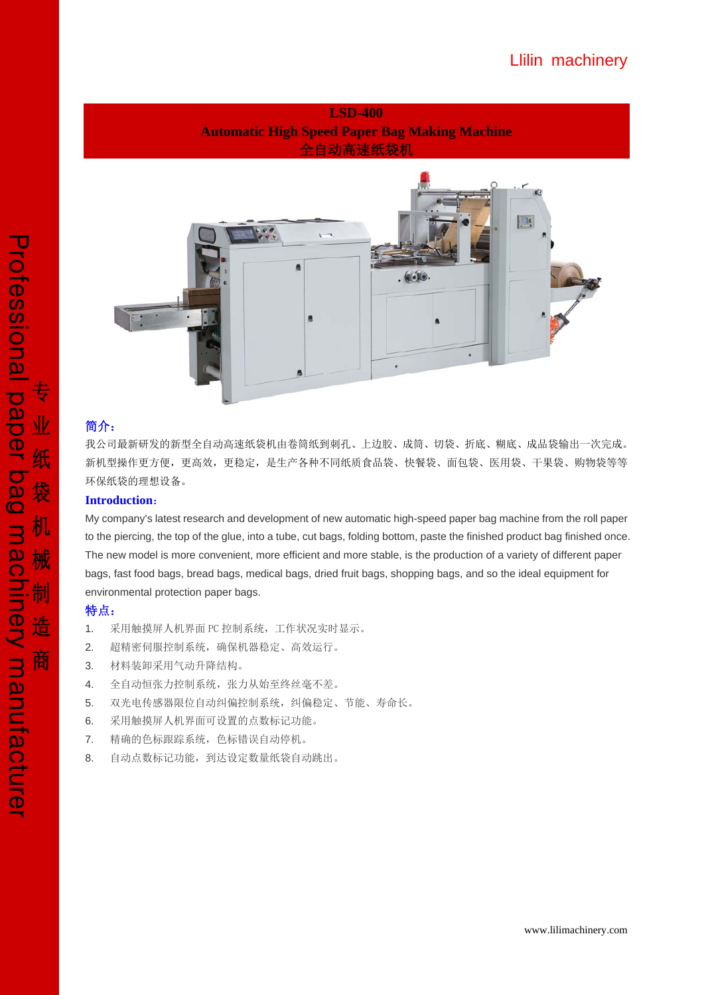# Llilin machinery



### 简介:

我公司最新研发的新型全自动高速纸袋机由卷筒纸到刺孔、上边胶、成筒、切袋、折底、糊底、成品袋输出一次完成。 新机型操作更方便,更高效,更稳定,是生产各种不同纸质食品袋、快餐袋、面包袋、医用袋、干果袋、购物袋等等 环保纸袋的理想设备。

#### **Introduction**:

My company's latest research and development of new automatic high-speed paper bag machine from the roll paper to the piercing, the top of the glue, into a tube, cut bags, folding bottom, paste the finished product bag finished once. The new model is more convenient, more efficient and more stable, is the production of a variety of different paper bags, fast food bags, bread bags, medical bags, dried fruit bags, shopping bags, and so the ideal equipment for environmental protection paper bags.

### 特点:

- 1. 采用触摸屏人机界面 PC 控制系统,工作状况实时显示。
- 2. 超精密伺服控制系统,确保机器稳定、高效运行。
- 3. 材料装卸采用气动升降结构。
- 4. 全自动恒张力控制系统,张力从始至终丝毫不差。
- 5. 双光电传感器限位自动纠偏控制系统,纠偏稳定、节能、寿命长。
- 6. 采用触摸屏人机界面可设置的点数标记功能。
- 7. 精确的色标跟踪系统,色标错误自动停机。
- 8. 自动点数标记功能,到达设定数量纸袋自动跳出。